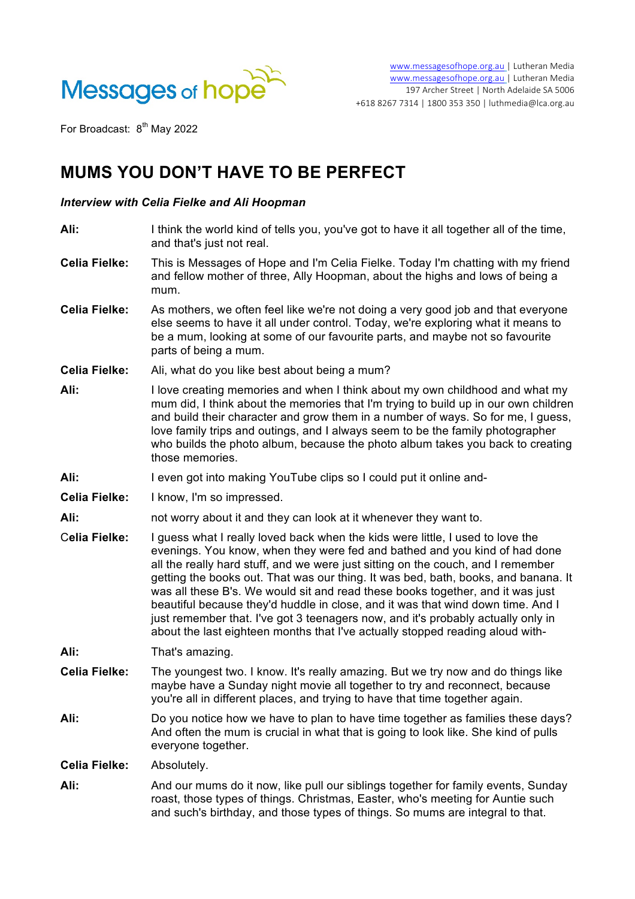

For Broadcast: 8<sup>th</sup> May 2022

## **MUMS YOU DON'T HAVE TO BE PERFECT**

## *Interview with Celia Fielke and Ali Hoopman*

| Ali:                 | I think the world kind of tells you, you've got to have it all together all of the time,<br>and that's just not real.                                                                                                                                                                                                                                                                                                                                                                                                                                                                                                                                                            |
|----------------------|----------------------------------------------------------------------------------------------------------------------------------------------------------------------------------------------------------------------------------------------------------------------------------------------------------------------------------------------------------------------------------------------------------------------------------------------------------------------------------------------------------------------------------------------------------------------------------------------------------------------------------------------------------------------------------|
| <b>Celia Fielke:</b> | This is Messages of Hope and I'm Celia Fielke. Today I'm chatting with my friend<br>and fellow mother of three, Ally Hoopman, about the highs and lows of being a<br>mum.                                                                                                                                                                                                                                                                                                                                                                                                                                                                                                        |
| <b>Celia Fielke:</b> | As mothers, we often feel like we're not doing a very good job and that everyone<br>else seems to have it all under control. Today, we're exploring what it means to<br>be a mum, looking at some of our favourite parts, and maybe not so favourite<br>parts of being a mum.                                                                                                                                                                                                                                                                                                                                                                                                    |
| <b>Celia Fielke:</b> | Ali, what do you like best about being a mum?                                                                                                                                                                                                                                                                                                                                                                                                                                                                                                                                                                                                                                    |
| Ali:                 | I love creating memories and when I think about my own childhood and what my<br>mum did, I think about the memories that I'm trying to build up in our own children<br>and build their character and grow them in a number of ways. So for me, I guess,<br>love family trips and outings, and I always seem to be the family photographer<br>who builds the photo album, because the photo album takes you back to creating<br>those memories.                                                                                                                                                                                                                                   |
| Ali:                 | I even got into making YouTube clips so I could put it online and-                                                                                                                                                                                                                                                                                                                                                                                                                                                                                                                                                                                                               |
| <b>Celia Fielke:</b> | I know, I'm so impressed.                                                                                                                                                                                                                                                                                                                                                                                                                                                                                                                                                                                                                                                        |
| Ali:                 | not worry about it and they can look at it whenever they want to.                                                                                                                                                                                                                                                                                                                                                                                                                                                                                                                                                                                                                |
| <b>Celia Fielke:</b> | I guess what I really loved back when the kids were little, I used to love the<br>evenings. You know, when they were fed and bathed and you kind of had done<br>all the really hard stuff, and we were just sitting on the couch, and I remember<br>getting the books out. That was our thing. It was bed, bath, books, and banana. It<br>was all these B's. We would sit and read these books together, and it was just<br>beautiful because they'd huddle in close, and it was that wind down time. And I<br>just remember that. I've got 3 teenagers now, and it's probably actually only in<br>about the last eighteen months that I've actually stopped reading aloud with- |
| Ali:                 | That's amazing.                                                                                                                                                                                                                                                                                                                                                                                                                                                                                                                                                                                                                                                                  |
| <b>Celia Fielke:</b> | The youngest two. I know. It's really amazing. But we try now and do things like<br>maybe have a Sunday night movie all together to try and reconnect, because<br>you're all in different places, and trying to have that time together again.                                                                                                                                                                                                                                                                                                                                                                                                                                   |
| Ali:                 | Do you notice how we have to plan to have time together as families these days?<br>And often the mum is crucial in what that is going to look like. She kind of pulls<br>everyone together.                                                                                                                                                                                                                                                                                                                                                                                                                                                                                      |
| <b>Celia Fielke:</b> | Absolutely.                                                                                                                                                                                                                                                                                                                                                                                                                                                                                                                                                                                                                                                                      |
| Ali:                 | And our mums do it now, like pull our siblings together for family events, Sunday<br>roast, those types of things. Christmas, Easter, who's meeting for Auntie such<br>and such's birthday, and those types of things. So mums are integral to that.                                                                                                                                                                                                                                                                                                                                                                                                                             |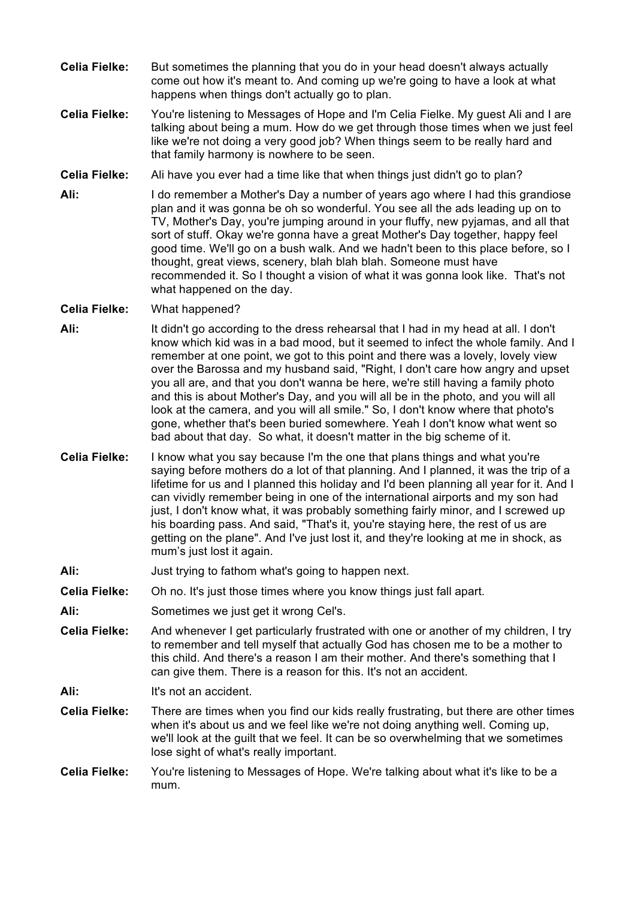- **Celia Fielke:** But sometimes the planning that you do in your head doesn't always actually come out how it's meant to. And coming up we're going to have a look at what happens when things don't actually go to plan.
- **Celia Fielke:** You're listening to Messages of Hope and I'm Celia Fielke. My guest Ali and I are talking about being a mum. How do we get through those times when we just feel like we're not doing a very good job? When things seem to be really hard and that family harmony is nowhere to be seen.
- **Celia Fielke:** Ali have you ever had a time like that when things just didn't go to plan?
- **Ali:** I do remember a Mother's Day a number of years ago where I had this grandiose plan and it was gonna be oh so wonderful. You see all the ads leading up on to TV, Mother's Day, you're jumping around in your fluffy, new pyjamas, and all that sort of stuff. Okay we're gonna have a great Mother's Day together, happy feel good time. We'll go on a bush walk. And we hadn't been to this place before, so I thought, great views, scenery, blah blah blah. Someone must have recommended it. So I thought a vision of what it was gonna look like. That's not what happened on the day.
- **Celia Fielke:** What happened?
- **Ali:** It didn't go according to the dress rehearsal that I had in my head at all. I don't know which kid was in a bad mood, but it seemed to infect the whole family. And I remember at one point, we got to this point and there was a lovely, lovely view over the Barossa and my husband said, "Right, I don't care how angry and upset you all are, and that you don't wanna be here, we're still having a family photo and this is about Mother's Day, and you will all be in the photo, and you will all look at the camera, and you will all smile." So, I don't know where that photo's gone, whether that's been buried somewhere. Yeah I don't know what went so bad about that day. So what, it doesn't matter in the big scheme of it.
- **Celia Fielke:** I know what you say because I'm the one that plans things and what you're saying before mothers do a lot of that planning. And I planned, it was the trip of a lifetime for us and I planned this holiday and I'd been planning all year for it. And I can vividly remember being in one of the international airports and my son had just, I don't know what, it was probably something fairly minor, and I screwed up his boarding pass. And said, "That's it, you're staying here, the rest of us are getting on the plane". And I've just lost it, and they're looking at me in shock, as mum's just lost it again.
- Ali: **Just trying to fathom what's going to happen next.**
- **Celia Fielke:** Oh no. It's just those times where you know things just fall apart.
- **Ali:** Sometimes we just get it wrong Cel's.
- **Celia Fielke:** And whenever I get particularly frustrated with one or another of my children, I try to remember and tell myself that actually God has chosen me to be a mother to this child. And there's a reason I am their mother. And there's something that I can give them. There is a reason for this. It's not an accident.
- Ali: It's not an accident.
- **Celia Fielke:** There are times when you find our kids really frustrating, but there are other times when it's about us and we feel like we're not doing anything well. Coming up, we'll look at the guilt that we feel. It can be so overwhelming that we sometimes lose sight of what's really important.
- **Celia Fielke:** You're listening to Messages of Hope. We're talking about what it's like to be a mum.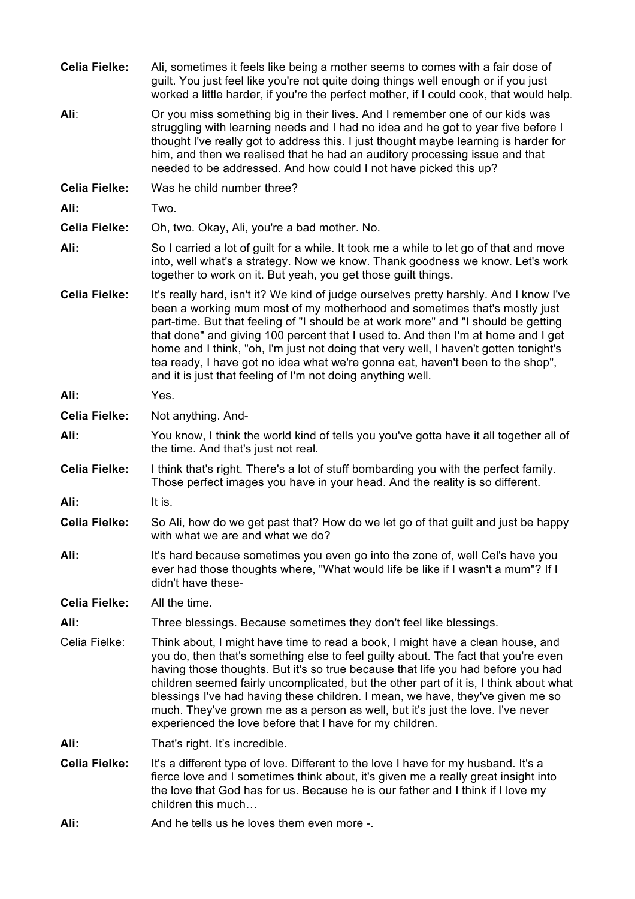| <b>Celia Fielke:</b> | Ali, sometimes it feels like being a mother seems to comes with a fair dose of<br>guilt. You just feel like you're not quite doing things well enough or if you just<br>worked a little harder, if you're the perfect mother, if I could cook, that would help.                                                                                                                                                                                                                                                                                                                        |
|----------------------|----------------------------------------------------------------------------------------------------------------------------------------------------------------------------------------------------------------------------------------------------------------------------------------------------------------------------------------------------------------------------------------------------------------------------------------------------------------------------------------------------------------------------------------------------------------------------------------|
| Ali:                 | Or you miss something big in their lives. And I remember one of our kids was<br>struggling with learning needs and I had no idea and he got to year five before I<br>thought I've really got to address this. I just thought maybe learning is harder for<br>him, and then we realised that he had an auditory processing issue and that<br>needed to be addressed. And how could I not have picked this up?                                                                                                                                                                           |
| <b>Celia Fielke:</b> | Was he child number three?                                                                                                                                                                                                                                                                                                                                                                                                                                                                                                                                                             |
| Ali:                 | Two.                                                                                                                                                                                                                                                                                                                                                                                                                                                                                                                                                                                   |
| <b>Celia Fielke:</b> | Oh, two. Okay, Ali, you're a bad mother. No.                                                                                                                                                                                                                                                                                                                                                                                                                                                                                                                                           |
| Ali:                 | So I carried a lot of guilt for a while. It took me a while to let go of that and move<br>into, well what's a strategy. Now we know. Thank goodness we know. Let's work<br>together to work on it. But yeah, you get those guilt things.                                                                                                                                                                                                                                                                                                                                               |
| <b>Celia Fielke:</b> | It's really hard, isn't it? We kind of judge ourselves pretty harshly. And I know I've<br>been a working mum most of my motherhood and sometimes that's mostly just<br>part-time. But that feeling of "I should be at work more" and "I should be getting<br>that done" and giving 100 percent that I used to. And then I'm at home and I get<br>home and I think, "oh, I'm just not doing that very well, I haven't gotten tonight's<br>tea ready, I have got no idea what we're gonna eat, haven't been to the shop",<br>and it is just that feeling of I'm not doing anything well. |
| Ali:                 | Yes.                                                                                                                                                                                                                                                                                                                                                                                                                                                                                                                                                                                   |
| <b>Celia Fielke:</b> | Not anything. And-                                                                                                                                                                                                                                                                                                                                                                                                                                                                                                                                                                     |
| Ali:                 | You know, I think the world kind of tells you you've gotta have it all together all of<br>the time. And that's just not real.                                                                                                                                                                                                                                                                                                                                                                                                                                                          |
| <b>Celia Fielke:</b> | I think that's right. There's a lot of stuff bombarding you with the perfect family.<br>Those perfect images you have in your head. And the reality is so different.                                                                                                                                                                                                                                                                                                                                                                                                                   |
| Ali:                 | It is.                                                                                                                                                                                                                                                                                                                                                                                                                                                                                                                                                                                 |
| <b>Celia Fielke:</b> | So Ali, how do we get past that? How do we let go of that guilt and just be happy<br>with what we are and what we do?                                                                                                                                                                                                                                                                                                                                                                                                                                                                  |
| Ali:                 | It's hard because sometimes you even go into the zone of, well Cel's have you<br>ever had those thoughts where, "What would life be like if I wasn't a mum"? If I<br>didn't have these-                                                                                                                                                                                                                                                                                                                                                                                                |
| <b>Celia Fielke:</b> | All the time.                                                                                                                                                                                                                                                                                                                                                                                                                                                                                                                                                                          |
| Ali:                 | Three blessings. Because sometimes they don't feel like blessings.                                                                                                                                                                                                                                                                                                                                                                                                                                                                                                                     |
| Celia Fielke:        | Think about, I might have time to read a book, I might have a clean house, and<br>you do, then that's something else to feel guilty about. The fact that you're even<br>having those thoughts. But it's so true because that life you had before you had<br>children seemed fairly uncomplicated, but the other part of it is, I think about what<br>blessings I've had having these children. I mean, we have, they've given me so<br>much. They've grown me as a person as well, but it's just the love. I've never<br>experienced the love before that I have for my children.      |
| Ali:                 | That's right. It's incredible.                                                                                                                                                                                                                                                                                                                                                                                                                                                                                                                                                         |
| <b>Celia Fielke:</b> | It's a different type of love. Different to the love I have for my husband. It's a<br>fierce love and I sometimes think about, it's given me a really great insight into<br>the love that God has for us. Because he is our father and I think if I love my<br>children this much                                                                                                                                                                                                                                                                                                      |
| Ali:                 | And he tells us he loves them even more -.                                                                                                                                                                                                                                                                                                                                                                                                                                                                                                                                             |